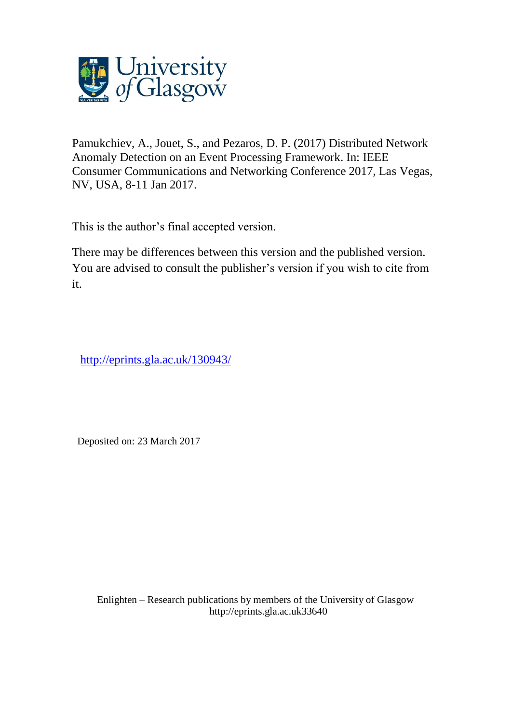

Pamukchiev, A., Jouet, S., and Pezaros, D. P. (2017) Distributed Network Anomaly Detection on an Event Processing Framework. In: IEEE Consumer Communications and Networking Conference 2017, Las Vegas, NV, USA, 8-11 Jan 2017.

This is the author's final accepted version.

There may be differences between this version and the published version. You are advised to consult the publisher's version if you wish to cite from it.

[http://eprints.gla.ac.uk/130943/](http://eprints.gla.ac.uk/130944/)

Deposited on: 23 March 2017

Enlighten – Research publications by members of the University of Glasgo[w](http://eprints.gla.ac.uk/) [http://eprints.gla.ac.uk3](http://eprints.gla.ac.uk/)3640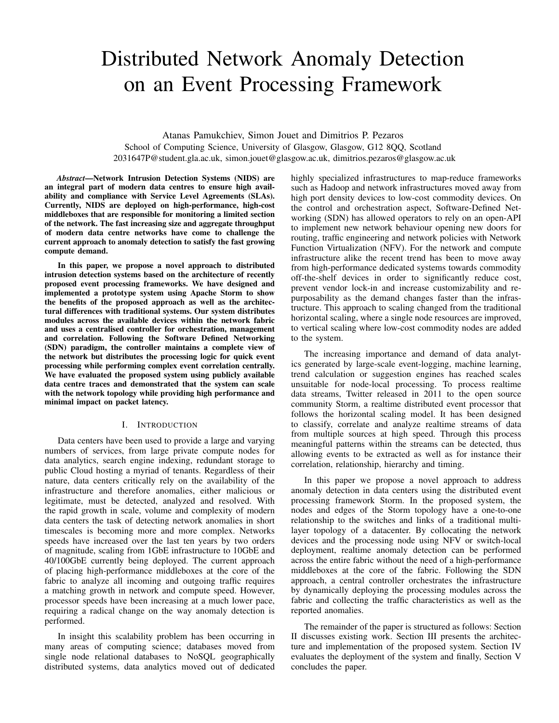# Distributed Network Anomaly Detection on an Event Processing Framework

Atanas Pamukchiev, Simon Jouet and Dimitrios P. Pezaros School of Computing Science, University of Glasgow, Glasgow, G12 8QQ, Scotland 2031647P@student.gla.ac.uk, simon.jouet@glasgow.ac.uk, dimitrios.pezaros@glasgow.ac.uk

*Abstract*—Network Intrusion Detection Systems (NIDS) are an integral part of modern data centres to ensure high availability and compliance with Service Level Agreements (SLAs). Currently, NIDS are deployed on high-performance, high-cost middleboxes that are responsible for monitoring a limited section of the network. The fast increasing size and aggregate throughput of modern data centre networks have come to challenge the current approach to anomaly detection to satisfy the fast growing compute demand.

In this paper, we propose a novel approach to distributed intrusion detection systems based on the architecture of recently proposed event processing frameworks. We have designed and implemented a prototype system using Apache Storm to show the benefits of the proposed approach as well as the architectural differences with traditional systems. Our system distributes modules across the available devices within the network fabric and uses a centralised controller for orchestration, management and correlation. Following the Software Defined Networking (SDN) paradigm, the controller maintains a complete view of the network but distributes the processing logic for quick event processing while performing complex event correlation centrally. We have evaluated the proposed system using publicly available data centre traces and demonstrated that the system can scale with the network topology while providing high performance and minimal impact on packet latency.

#### I. INTRODUCTION

Data centers have been used to provide a large and varying numbers of services, from large private compute nodes for data analytics, search engine indexing, redundant storage to public Cloud hosting a myriad of tenants. Regardless of their nature, data centers critically rely on the availability of the infrastructure and therefore anomalies, either malicious or legitimate, must be detected, analyzed and resolved. With the rapid growth in scale, volume and complexity of modern data centers the task of detecting network anomalies in short timescales is becoming more and more complex. Networks speeds have increased over the last ten years by two orders of magnitude, scaling from 1GbE infrastructure to 10GbE and 40/100GbE currently being deployed. The current approach of placing high-performance middleboxes at the core of the fabric to analyze all incoming and outgoing traffic requires a matching growth in network and compute speed. However, processor speeds have been increasing at a much lower pace, requiring a radical change on the way anomaly detection is performed.

In insight this scalability problem has been occurring in many areas of computing science; databases moved from single node relational databases to NoSQL geographically distributed systems, data analytics moved out of dedicated highly specialized infrastructures to map-reduce frameworks such as Hadoop and network infrastructures moved away from high port density devices to low-cost commodity devices. On the control and orchestration aspect, Software-Defined Networking (SDN) has allowed operators to rely on an open-API to implement new network behaviour opening new doors for routing, traffic engineering and network policies with Network Function Virtualization (NFV). For the network and compute infrastructure alike the recent trend has been to move away from high-performance dedicated systems towards commodity off-the-shelf devices in order to significantly reduce cost, prevent vendor lock-in and increase customizability and repurposability as the demand changes faster than the infrastructure. This approach to scaling changed from the traditional horizontal scaling, where a single node resources are improved, to vertical scaling where low-cost commodity nodes are added to the system.

The increasing importance and demand of data analytics generated by large-scale event-logging, machine learning, trend calculation or suggestion engines has reached scales unsuitable for node-local processing. To process realtime data streams, Twitter released in 2011 to the open source community Storm, a realtime distributed event processor that follows the horizontal scaling model. It has been designed to classify, correlate and analyze realtime streams of data from multiple sources at high speed. Through this process meaningful patterns within the streams can be detected, thus allowing events to be extracted as well as for instance their correlation, relationship, hierarchy and timing.

In this paper we propose a novel approach to address anomaly detection in data centers using the distributed event processing framework Storm. In the proposed system, the nodes and edges of the Storm topology have a one-to-one relationship to the switches and links of a traditional multilayer topology of a datacenter. By collocating the network devices and the processing node using NFV or switch-local deployment, realtime anomaly detection can be performed across the entire fabric without the need of a high-performance middleboxes at the core of the fabric. Following the SDN approach, a central controller orchestrates the infrastructure by dynamically deploying the processing modules across the fabric and collecting the traffic characteristics as well as the reported anomalies.

The remainder of the paper is structured as follows: Section II discusses existing work. Section III presents the architecture and implementation of the proposed system. Section IV evaluates the deployment of the system and finally, Section V concludes the paper.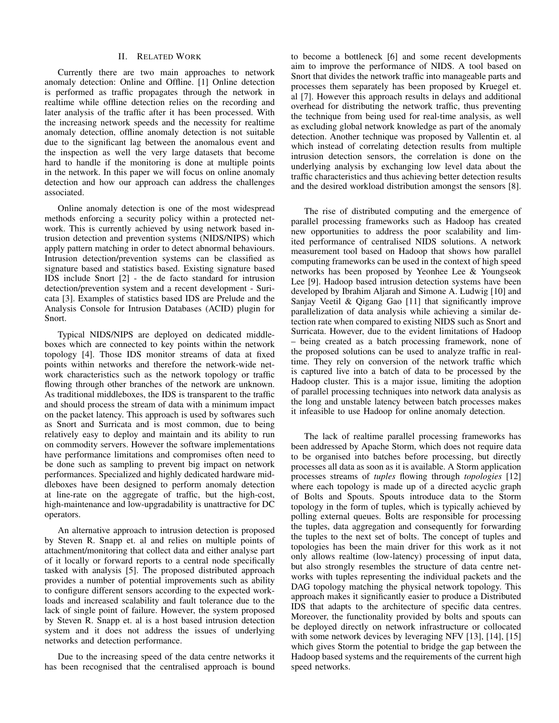## II. RELATED WORK

Currently there are two main approaches to network anomaly detection: Online and Offline. [1] Online detection is performed as traffic propagates through the network in realtime while offline detection relies on the recording and later analysis of the traffic after it has been processed. With the increasing network speeds and the necessity for realtime anomaly detection, offline anomaly detection is not suitable due to the significant lag between the anomalous event and the inspection as well the very large datasets that become hard to handle if the monitoring is done at multiple points in the network. In this paper we will focus on online anomaly detection and how our approach can address the challenges associated.

Online anomaly detection is one of the most widespread methods enforcing a security policy within a protected network. This is currently achieved by using network based intrusion detection and prevention systems (NIDS/NIPS) which apply pattern matching in order to detect abnormal behaviours. Intrusion detection/prevention systems can be classified as signature based and statistics based. Existing signature based IDS include Snort [2] - the de facto standard for intrusion detection/prevention system and a recent development - Suricata [3]. Examples of statistics based IDS are Prelude and the Analysis Console for Intrusion Databases (ACID) plugin for Snort.

Typical NIDS/NIPS are deployed on dedicated middleboxes which are connected to key points within the network topology [4]. Those IDS monitor streams of data at fixed points within networks and therefore the network-wide network characteristics such as the network topology or traffic flowing through other branches of the network are unknown. As traditional middleboxes, the IDS is transparent to the traffic and should process the stream of data with a minimum impact on the packet latency. This approach is used by softwares such as Snort and Surricata and is most common, due to being relatively easy to deploy and maintain and its ability to run on commodity servers. However the software implementations have performance limitations and compromises often need to be done such as sampling to prevent big impact on network performances. Specialized and highly dedicated hardware middleboxes have been designed to perform anomaly detection at line-rate on the aggregate of traffic, but the high-cost, high-maintenance and low-upgradability is unattractive for DC operators.

An alternative approach to intrusion detection is proposed by Steven R. Snapp et. al and relies on multiple points of attachment/monitoring that collect data and either analyse part of it locally or forward reports to a central node specifically tasked with analysis [5]. The proposed distributed approach provides a number of potential improvements such as ability to configure different sensors according to the expected workloads and increased scalability and fault tolerance due to the lack of single point of failure. However, the system proposed by Steven R. Snapp et. al is a host based intrusion detection system and it does not address the issues of underlying networks and detection performance.

Due to the increasing speed of the data centre networks it has been recognised that the centralised approach is bound to become a bottleneck [6] and some recent developments aim to improve the performance of NIDS. A tool based on Snort that divides the network traffic into manageable parts and processes them separately has been proposed by Kruegel et. al [7]. However this approach results in delays and additional overhead for distributing the network traffic, thus preventing the technique from being used for real-time analysis, as well as excluding global network knowledge as part of the anomaly detection. Another technique was proposed by Vallentin et. al which instead of correlating detection results from multiple intrusion detection sensors, the correlation is done on the underlying analysis by exchanging low level data about the traffic characteristics and thus achieving better detection results and the desired workload distribution amongst the sensors [8].

The rise of distributed computing and the emergence of parallel processing frameworks such as Hadoop has created new opportunities to address the poor scalability and limited performance of centralised NIDS solutions. A network measurement tool based on Hadoop that shows how parallel computing frameworks can be used in the context of high speed networks has been proposed by Yeonhee Lee & Youngseok Lee [9]. Hadoop based intrusion detection systems have been developed by Ibrahim Aljarah and Simone A. Ludwig [10] and Sanjay Veetil & Qigang Gao [11] that significantly improve parallelization of data analysis while achieving a similar detection rate when compared to existing NIDS such as Snort and Surricata. However, due to the evident limitations of Hadoop – being created as a batch processing framework, none of the proposed solutions can be used to analyze traffic in realtime. They rely on conversion of the network traffic which is captured live into a batch of data to be processed by the Hadoop cluster. This is a major issue, limiting the adoption of parallel processing techniques into network data analysis as the long and unstable latency between batch processes makes it infeasible to use Hadoop for online anomaly detection.

The lack of realtime parallel processing frameworks has been addressed by Apache Storm, which does not require data to be organised into batches before processing, but directly processes all data as soon as it is available. A Storm application processes streams of *tuples* flowing through *topologies* [12] where each topology is made up of a directed acyclic graph of Bolts and Spouts. Spouts introduce data to the Storm topology in the form of tuples, which is typically achieved by polling external queues. Bolts are responsible for processing the tuples, data aggregation and consequently for forwarding the tuples to the next set of bolts. The concept of tuples and topologies has been the main driver for this work as it not only allows realtime (low-latency) processing of input data, but also strongly resembles the structure of data centre networks with tuples representing the individual packets and the DAG topology matching the physical network topology. This approach makes it significantly easier to produce a Distributed IDS that adapts to the architecture of specific data centres. Moreover, the functionality provided by bolts and spouts can be deployed directly on network infrastructure or collocated with some network devices by leveraging NFV [13], [14], [15] which gives Storm the potential to bridge the gap between the Hadoop based systems and the requirements of the current high speed networks.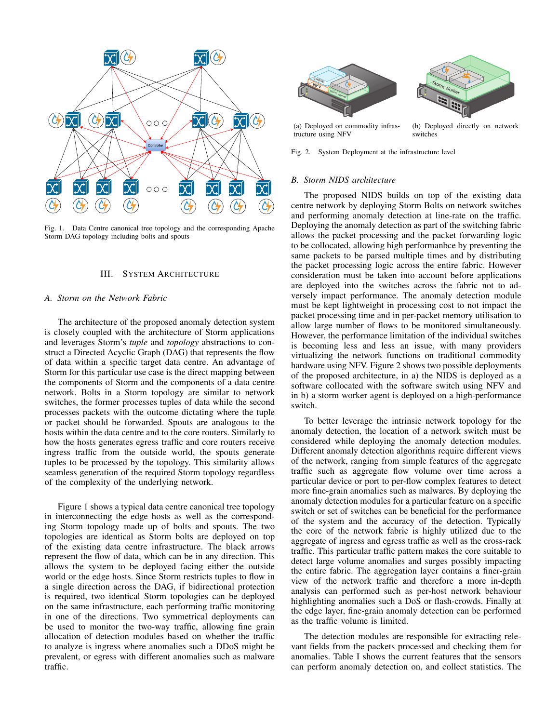

Fig. 1. Data Centre canonical tree topology and the corresponding Apache Storm DAG topology including bolts and spouts

## III. SYSTEM ARCHITECTURE

#### *A. Storm on the Network Fabric*

The architecture of the proposed anomaly detection system is closely coupled with the architecture of Storm applications and leverages Storm's *tuple* and *topology* abstractions to construct a Directed Acyclic Graph (DAG) that represents the flow of data within a specific target data centre. An advantage of Storm for this particular use case is the direct mapping between the components of Storm and the components of a data centre network. Bolts in a Storm topology are similar to network switches, the former processes tuples of data while the second processes packets with the outcome dictating where the tuple or packet should be forwarded. Spouts are analogous to the hosts within the data centre and to the core routers. Similarly to how the hosts generates egress traffic and core routers receive ingress traffic from the outside world, the spouts generate tuples to be processed by the topology. This similarity allows seamless generation of the required Storm topology regardless of the complexity of the underlying network.

Figure 1 shows a typical data centre canonical tree topology in interconnecting the edge hosts as well as the corresponding Storm topology made up of bolts and spouts. The two topologies are identical as Storm bolts are deployed on top of the existing data centre infrastructure. The black arrows represent the flow of data, which can be in any direction. This allows the system to be deployed facing either the outside world or the edge hosts. Since Storm restricts tuples to flow in a single direction across the DAG, if bidirectional protection is required, two identical Storm topologies can be deployed on the same infrastructure, each performing traffic monitoring in one of the directions. Two symmetrical deployments can be used to monitor the two-way traffic, allowing fine grain allocation of detection modules based on whether the traffic to analyze is ingress where anomalies such a DDoS might be prevalent, or egress with different anomalies such as malware traffic.





(a) Deployed on commodity infrastructure using NFV

(b) Deployed directly on network switches

Fig. 2. System Deployment at the infrastructure level

## *B. Storm NIDS architecture*

The proposed NIDS builds on top of the existing data centre network by deploying Storm Bolts on network switches and performing anomaly detection at line-rate on the traffic. Deploying the anomaly detection as part of the switching fabric allows the packet processing and the packet forwarding logic to be collocated, allowing high performanbce by preventing the same packets to be parsed multiple times and by distributing the packet processing logic across the entire fabric. However consideration must be taken into account before applications are deployed into the switches across the fabric not to adversely impact performance. The anomaly detection module must be kept lightweight in processing cost to not impact the packet processing time and in per-packet memory utilisation to allow large number of flows to be monitored simultaneously. However, the performance limitation of the individual switches is becoming less and less an issue, with many providers virtualizing the network functions on traditional commodity hardware using NFV. Figure 2 shows two possible deployments of the proposed architecture, in a) the NIDS is deployed as a software collocated with the software switch using NFV and in b) a storm worker agent is deployed on a high-performance switch.

To better leverage the intrinsic network topology for the anomaly detection, the location of a network switch must be considered while deploying the anomaly detection modules. Different anomaly detection algorithms require different views of the network, ranging from simple features of the aggregate traffic such as aggregate flow volume over time across a particular device or port to per-flow complex features to detect more fine-grain anomalies such as malwares. By deploying the anomaly detection modules for a particular feature on a specific switch or set of switches can be beneficial for the performance of the system and the accuracy of the detection. Typically the core of the network fabric is highly utilized due to the aggregate of ingress and egress traffic as well as the cross-rack traffic. This particular traffic pattern makes the core suitable to detect large volume anomalies and surges possibly impacting the entire fabric. The aggregation layer contains a finer-grain view of the network traffic and therefore a more in-depth analysis can performed such as per-host network behaviour highlighting anomalies such a DoS or flash-crowds. Finally at the edge layer, fine-grain anomaly detection can be performed as the traffic volume is limited.

The detection modules are responsible for extracting relevant fields from the packets processed and checking them for anomalies. Table I shows the current features that the sensors can perform anomaly detection on, and collect statistics. The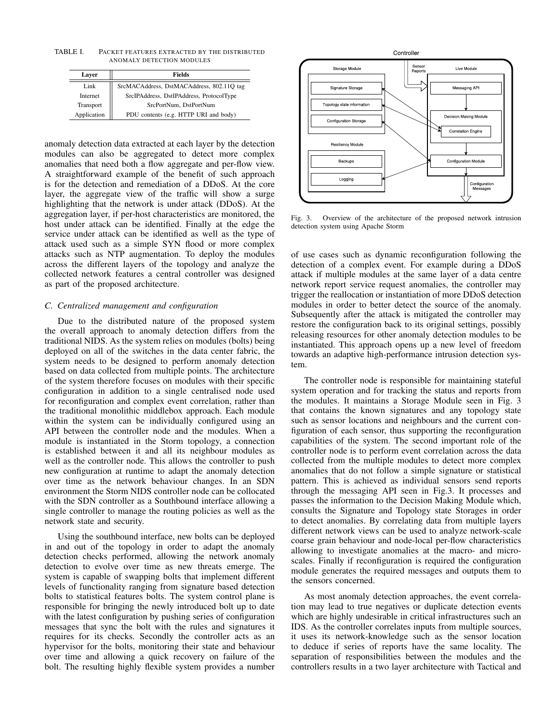TABLE I. PACKET FEATURES EXTRACTED BY THE DISTRIBUTED ANOMALY DETECTION MODULES

| Laver       | Fields                                    |
|-------------|-------------------------------------------|
| Link        | SrcMACAddress, DstMACAddress, 802.11Q tag |
| Internet    | SrcIPAddress, DstIPAddress, ProtocolType  |
| Transport   | SrcPortNum, DstPortNum                    |
| Application | PDU contents (e.g. HTTP URI and body)     |

anomaly detection data extracted at each layer by the detection modules can also be aggregated to detect more complex anomalies that need both a flow aggregate and per-flow view. A straightforward example of the benefit of such approach is for the detection and remediation of a DDoS. At the core layer, the aggregate view of the traffic will show a surge highlighting that the network is under attack (DDoS). At the aggregation layer, if per-host characteristics are monitored, the host under attack can be identified. Finally at the edge the service under attack can be identified as well as the type of attack used such as a simple SYN flood or more complex attacks such as NTP augmentation. To deploy the modules across the different layers of the topology and analyze the collected network features a central controller was designed as part of the proposed architecture.

# *C. Centralized management and configuration*

Due to the distributed nature of the proposed system the overall approach to anomaly detection differs from the traditional NIDS. As the system relies on modules (bolts) being deployed on all of the switches in the data center fabric, the system needs to be designed to perform anomaly detection based on data collected from multiple points. The architecture of the system therefore focuses on modules with their specific configuration in addition to a single centralised node used for reconfiguration and complex event correlation, rather than the traditional monolithic middlebox approach. Each module within the system can be individually configured using an API between the controller node and the modules. When a module is instantiated in the Storm topology, a connection is established between it and all its neighbour modules as well as the controller node. This allows the controller to push new configuration at runtime to adapt the anomaly detection over time as the network behaviour changes. In an SDN environment the Storm NIDS controller node can be collocated with the SDN controller as a Southbound interface allowing a single controller to manage the routing policies as well as the network state and security.

Using the southbound interface, new bolts can be deployed in and out of the topology in order to adapt the anomaly detection checks performed, allowing the network anomaly detection to evolve over time as new threats emerge. The system is capable of swapping bolts that implement different levels of functionality ranging from signature based detection bolts to statistical features bolts. The system control plane is responsible for bringing the newly introduced bolt up to date with the latest configuration by pushing series of configuration messages that sync the bolt with the rules and signatures it requires for its checks. Secondly the controller acts as an hypervisor for the bolts, monitoring their state and behaviour over time and allowing a quick recovery on failure of the bolt. The resulting highly flexible system provides a number



Fig. 3. Overview of the architecture of the proposed network intrusion detection system using Apache Storm

of use cases such as dynamic reconfiguration following the detection of a complex event. For example during a DDoS attack if multiple modules at the same layer of a data centre network report service request anomalies, the controller may trigger the reallocation or instantiation of more DDoS detection modules in order to better detect the source of the anomaly. Subsequently after the attack is mitigated the controller may restore the configuration back to its original settings, possibly releasing resources for other anomaly detection modules to be instantiated. This approach opens up a new level of freedom towards an adaptive high-performance intrusion detection system.

The controller node is responsible for maintaining stateful system operation and for tracking the status and reports from the modules. It maintains a Storage Module seen in Fig. 3 that contains the known signatures and any topology state such as sensor locations and neighbours and the current configuration of each sensor, thus supporting the reconfiguration capabilities of the system. The second important role of the controller node is to perform event correlation across the data collected from the multiple modules to detect more complex anomalies that do not follow a simple signature or statistical pattern. This is achieved as individual sensors send reports through the messaging API seen in Fig.3. It processes and passes the information to the Decision Making Module which, consults the Signature and Topology state Storages in order to detect anomalies. By correlating data from multiple layers different network views can be used to analyze network-scale coarse grain behaviour and node-local per-flow characteristics allowing to investigate anomalies at the macro- and microscales. Finally if reconfiguration is required the configuration module generates the required messages and outputs them to the sensors concerned.

As most anomaly detection approaches, the event correlation may lead to true negatives or duplicate detection events which are highly undesirable in critical infrastructures such an IDS. As the controller correlates inputs from multiple sources, it uses its network-knowledge such as the sensor location to deduce if series of reports have the same locality. The separation of responsibilities between the modules and the controllers results in a two layer architecture with Tactical and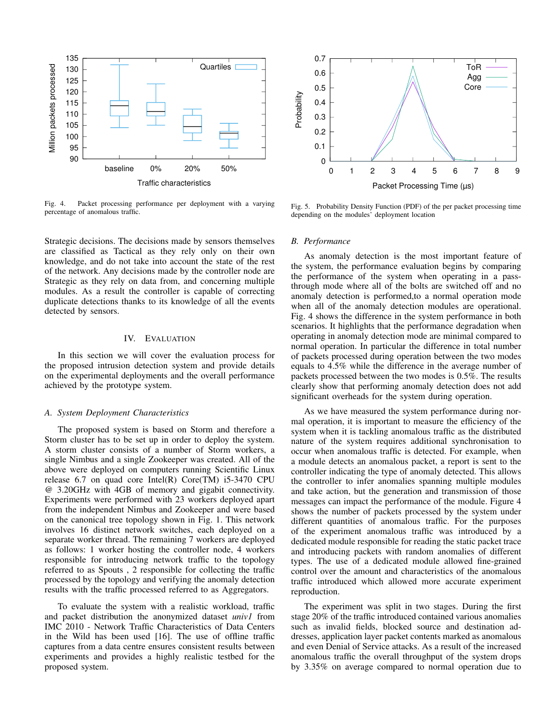

Fig. 4. Packet processing performance per deployment with a varying percentage of anomalous traffic.

Strategic decisions. The decisions made by sensors themselves are classified as Tactical as they rely only on their own knowledge, and do not take into account the state of the rest of the network. Any decisions made by the controller node are Strategic as they rely on data from, and concerning multiple modules. As a result the controller is capable of correcting duplicate detections thanks to its knowledge of all the events detected by sensors.

#### IV. EVALUATION

In this section we will cover the evaluation process for the proposed intrusion detection system and provide details on the experimental deployments and the overall performance achieved by the prototype system.

# *A. System Deployment Characteristics*

The proposed system is based on Storm and therefore a Storm cluster has to be set up in order to deploy the system. A storm cluster consists of a number of Storm workers, a single Nimbus and a single Zookeeper was created. All of the above were deployed on computers running Scientific Linux release  $6.7$  on quad core Intel $(R)$  Core $(TM)$  i5-3470 CPU @ 3.20GHz with 4GB of memory and gigabit connectivity. Experiments were performed with 23 workers deployed apart from the independent Nimbus and Zookeeper and were based on the canonical tree topology shown in Fig. 1. This network involves 16 distinct network switches, each deployed on a separate worker thread. The remaining 7 workers are deployed as follows: 1 worker hosting the controller node, 4 workers responsible for introducing network traffic to the topology referred to as Spouts , 2 responsible for collecting the traffic processed by the topology and verifying the anomaly detection results with the traffic processed referred to as Aggregators.

To evaluate the system with a realistic workload, traffic and packet distribution the anonymized dataset *univ1* from IMC 2010 - Network Traffic Characteristics of Data Centers in the Wild has been used [16]. The use of offline traffic captures from a data centre ensures consistent results between experiments and provides a highly realistic testbed for the proposed system.



Fig. 5. Probability Density Function (PDF) of the per packet processing time depending on the modules' deployment location

## *B. Performance*

As anomaly detection is the most important feature of the system, the performance evaluation begins by comparing the performance of the system when operating in a passthrough mode where all of the bolts are switched off and no anomaly detection is performed,to a normal operation mode when all of the anomaly detection modules are operational. Fig. 4 shows the difference in the system performance in both scenarios. It highlights that the performance degradation when operating in anomaly detection mode are minimal compared to normal operation. In particular the difference in total number of packets processed during operation between the two modes equals to 4.5% while the difference in the average number of packets processed between the two modes is 0.5%. The results clearly show that performing anomaly detection does not add significant overheads for the system during operation.

As we have measured the system performance during normal operation, it is important to measure the efficiency of the system when it is tackling anomalous traffic as the distributed nature of the system requires additional synchronisation to occur when anomalous traffic is detected. For example, when a module detects an anomalous packet, a report is sent to the controller indicating the type of anomaly detected. This allows the controller to infer anomalies spanning multiple modules and take action, but the generation and transmission of those messages can impact the performance of the module. Figure 4 shows the number of packets processed by the system under different quantities of anomalous traffic. For the purposes of the experiment anomalous traffic was introduced by a dedicated module responsible for reading the static packet trace and introducing packets with random anomalies of different types. The use of a dedicated module allowed fine-grained control over the amount and characteristics of the anomalous traffic introduced which allowed more accurate experiment reproduction.

The experiment was split in two stages. During the first stage 20% of the traffic introduced contained various anomalies such as invalid fields, blocked source and destination addresses, application layer packet contents marked as anomalous and even Denial of Service attacks. As a result of the increased anomalous traffic the overall throughput of the system drops by 3.35% on average compared to normal operation due to